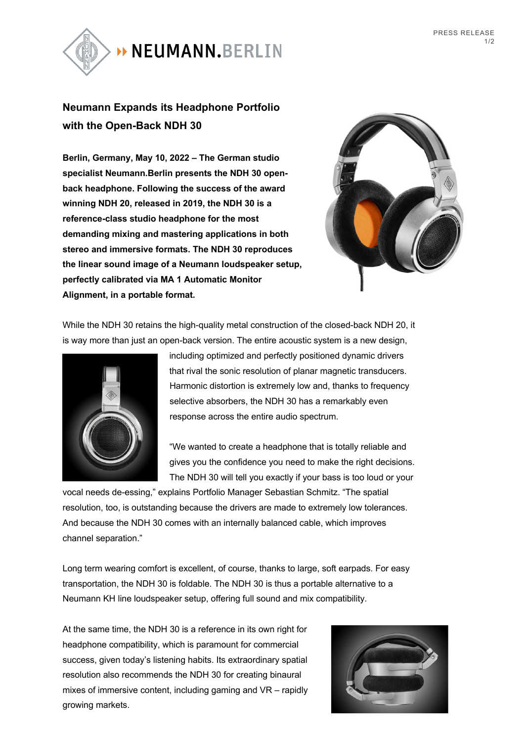

## **Neumann Expands its Headphone Portfolio with the Open-Back NDH 30**

**Berlin, Germany, May 10, 2022 – The German studio specialist Neumann.Berlin presents the NDH 30 openback headphone. Following the success of the award winning NDH 20, released in 2019, the NDH 30 is a reference-class studio headphone for the most demanding mixing and mastering applications in both stereo and immersive formats. The NDH 30 reproduces the linear sound image of a Neumann loudspeaker setup, perfectly calibrated via MA 1 Automatic Monitor Alignment, in a portable format.**



While the NDH 30 retains the high-quality metal construction of the closed-back NDH 20, it is way more than just an open-back version. The entire acoustic system is a new design,



including optimized and perfectly positioned dynamic drivers that rival the sonic resolution of planar magnetic transducers. Harmonic distortion is extremely low and, thanks to frequency selective absorbers, the NDH 30 has a remarkably even response across the entire audio spectrum.

"We wanted to create a headphone that is totally reliable and gives you the confidence you need to make the right decisions. The NDH 30 will tell you exactly if your bass is too loud or your

vocal needs de-essing," explains Portfolio Manager Sebastian Schmitz. "The spatial resolution, too, is outstanding because the drivers are made to extremely low tolerances. And because the NDH 30 comes with an internally balanced cable, which improves channel separation."

Long term wearing comfort is excellent, of course, thanks to large, soft earpads. For easy transportation, the NDH 30 is foldable. The NDH 30 is thus a portable alternative to a Neumann KH line loudspeaker setup, offering full sound and mix compatibility.

At the same time, the NDH 30 is a reference in its own right for headphone compatibility, which is paramount for commercial success, given today's listening habits. Its extraordinary spatial resolution also recommends the NDH 30 for creating binaural mixes of immersive content, including gaming and VR – rapidly growing markets.